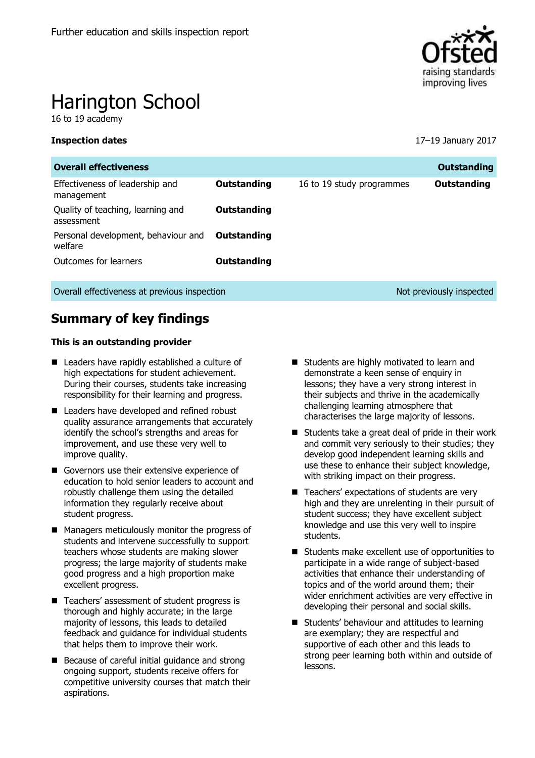

# Harington School

16 to 19 academy

**Inspection dates** 17–19 January 2017

| <b>Overall effectiveness</b>                    |             |                           | <b>Outstanding</b>       |
|-------------------------------------------------|-------------|---------------------------|--------------------------|
| Effectiveness of leadership and<br>management   | Outstanding | 16 to 19 study programmes | Outstanding              |
| Quality of teaching, learning and<br>assessment | Outstanding |                           |                          |
| Personal development, behaviour and<br>welfare  | Outstanding |                           |                          |
| Outcomes for learners                           | Outstanding |                           |                          |
| Overall effectiveness at previous inspection    |             |                           | Not previously inspected |

# **Summary of key findings**

### **This is an outstanding provider**

- Leaders have rapidly established a culture of high expectations for student achievement. During their courses, students take increasing responsibility for their learning and progress.
- Leaders have developed and refined robust quality assurance arrangements that accurately identify the school's strengths and areas for improvement, and use these very well to improve quality.
- Governors use their extensive experience of education to hold senior leaders to account and robustly challenge them using the detailed information they regularly receive about student progress.
- Managers meticulously monitor the progress of students and intervene successfully to support teachers whose students are making slower progress; the large majority of students make good progress and a high proportion make excellent progress.
- Teachers' assessment of student progress is thorough and highly accurate; in the large majority of lessons, this leads to detailed feedback and guidance for individual students that helps them to improve their work.
- Because of careful initial quidance and strong ongoing support, students receive offers for competitive university courses that match their aspirations.
- Students are highly motivated to learn and demonstrate a keen sense of enquiry in lessons; they have a very strong interest in their subjects and thrive in the academically challenging learning atmosphere that characterises the large majority of lessons.
- Students take a great deal of pride in their work and commit very seriously to their studies; they develop good independent learning skills and use these to enhance their subject knowledge, with striking impact on their progress.
- Teachers' expectations of students are very high and they are unrelenting in their pursuit of student success; they have excellent subject knowledge and use this very well to inspire students.
- Students make excellent use of opportunities to participate in a wide range of subject-based activities that enhance their understanding of topics and of the world around them; their wider enrichment activities are very effective in developing their personal and social skills.
- Students' behaviour and attitudes to learning are exemplary; they are respectful and supportive of each other and this leads to strong peer learning both within and outside of lessons.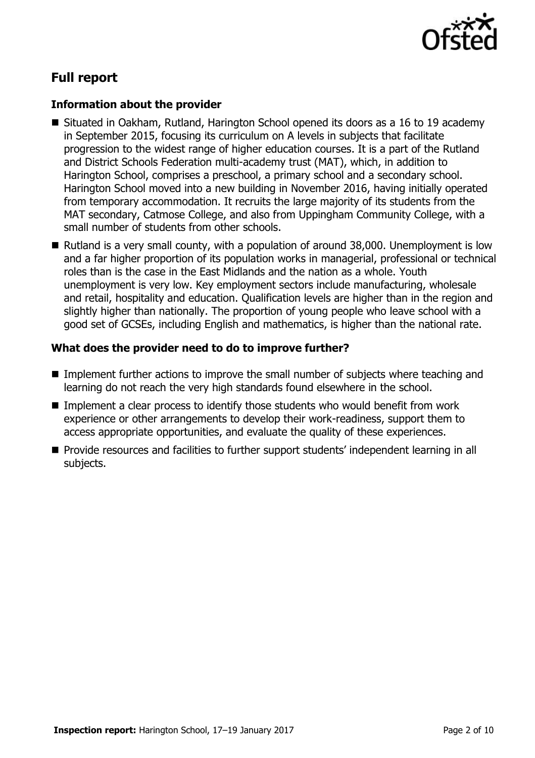

# **Full report**

### **Information about the provider**

- Situated in Oakham, Rutland, Harington School opened its doors as a 16 to 19 academy in September 2015, focusing its curriculum on A levels in subjects that facilitate progression to the widest range of higher education courses. It is a part of the Rutland and District Schools Federation multi-academy trust (MAT), which, in addition to Harington School, comprises a preschool, a primary school and a secondary school. Harington School moved into a new building in November 2016, having initially operated from temporary accommodation. It recruits the large majority of its students from the MAT secondary, Catmose College, and also from Uppingham Community College, with a small number of students from other schools.
- Rutland is a very small county, with a population of around 38,000. Unemployment is low and a far higher proportion of its population works in managerial, professional or technical roles than is the case in the East Midlands and the nation as a whole. Youth unemployment is very low. Key employment sectors include manufacturing, wholesale and retail, hospitality and education. Qualification levels are higher than in the region and slightly higher than nationally. The proportion of young people who leave school with a good set of GCSEs, including English and mathematics, is higher than the national rate.

### **What does the provider need to do to improve further?**

- Implement further actions to improve the small number of subjects where teaching and learning do not reach the very high standards found elsewhere in the school.
- Implement a clear process to identify those students who would benefit from work experience or other arrangements to develop their work-readiness, support them to access appropriate opportunities, and evaluate the quality of these experiences.
- **Provide resources and facilities to further support students' independent learning in all** subjects.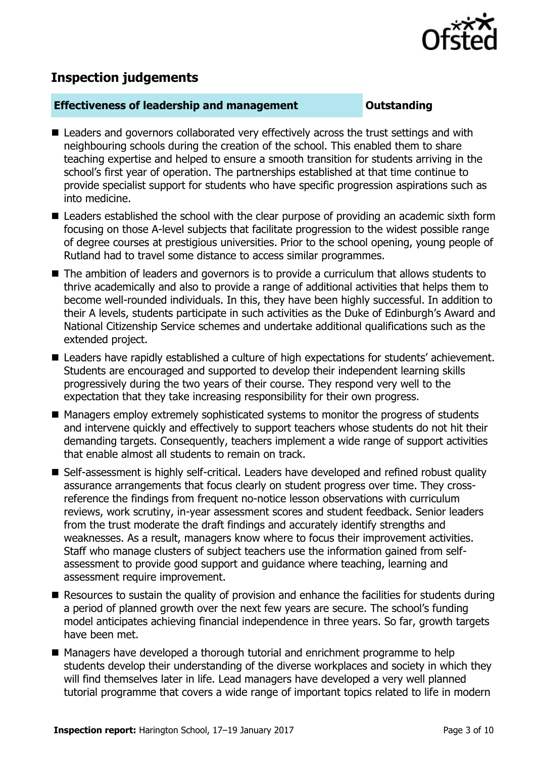

# **Inspection judgements**

### **Effectiveness of leadership and management Outstanding**

- Leaders and governors collaborated very effectively across the trust settings and with neighbouring schools during the creation of the school. This enabled them to share teaching expertise and helped to ensure a smooth transition for students arriving in the school's first year of operation. The partnerships established at that time continue to provide specialist support for students who have specific progression aspirations such as into medicine.
- Leaders established the school with the clear purpose of providing an academic sixth form focusing on those A-level subjects that facilitate progression to the widest possible range of degree courses at prestigious universities. Prior to the school opening, young people of Rutland had to travel some distance to access similar programmes.
- The ambition of leaders and governors is to provide a curriculum that allows students to thrive academically and also to provide a range of additional activities that helps them to become well-rounded individuals. In this, they have been highly successful. In addition to their A levels, students participate in such activities as the Duke of Edinburgh's Award and National Citizenship Service schemes and undertake additional qualifications such as the extended project.
- Leaders have rapidly established a culture of high expectations for students' achievement. Students are encouraged and supported to develop their independent learning skills progressively during the two years of their course. They respond very well to the expectation that they take increasing responsibility for their own progress.
- Managers employ extremely sophisticated systems to monitor the progress of students and intervene quickly and effectively to support teachers whose students do not hit their demanding targets. Consequently, teachers implement a wide range of support activities that enable almost all students to remain on track.
- Self-assessment is highly self-critical. Leaders have developed and refined robust quality assurance arrangements that focus clearly on student progress over time. They crossreference the findings from frequent no-notice lesson observations with curriculum reviews, work scrutiny, in-year assessment scores and student feedback. Senior leaders from the trust moderate the draft findings and accurately identify strengths and weaknesses. As a result, managers know where to focus their improvement activities. Staff who manage clusters of subject teachers use the information gained from selfassessment to provide good support and guidance where teaching, learning and assessment require improvement.
- Resources to sustain the quality of provision and enhance the facilities for students during a period of planned growth over the next few years are secure. The school's funding model anticipates achieving financial independence in three years. So far, growth targets have been met.
- Managers have developed a thorough tutorial and enrichment programme to help students develop their understanding of the diverse workplaces and society in which they will find themselves later in life. Lead managers have developed a very well planned tutorial programme that covers a wide range of important topics related to life in modern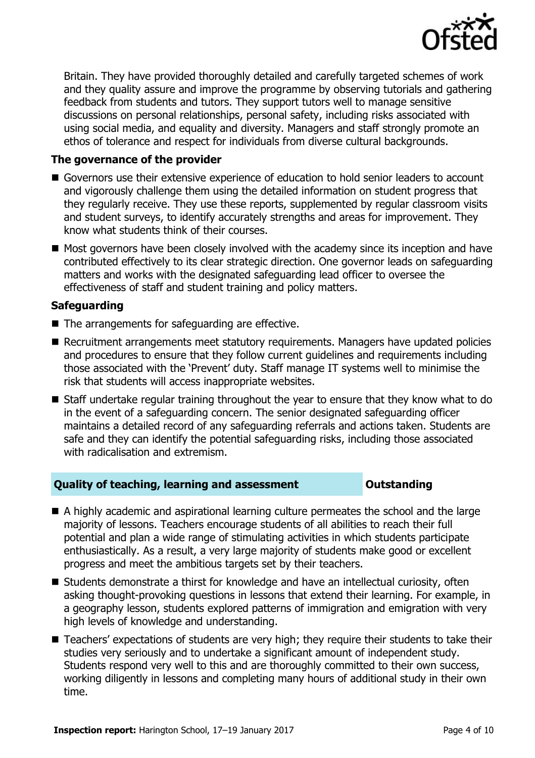

Britain. They have provided thoroughly detailed and carefully targeted schemes of work and they quality assure and improve the programme by observing tutorials and gathering feedback from students and tutors. They support tutors well to manage sensitive discussions on personal relationships, personal safety, including risks associated with using social media, and equality and diversity. Managers and staff strongly promote an ethos of tolerance and respect for individuals from diverse cultural backgrounds.

### **The governance of the provider**

- Governors use their extensive experience of education to hold senior leaders to account and vigorously challenge them using the detailed information on student progress that they regularly receive. They use these reports, supplemented by regular classroom visits and student surveys, to identify accurately strengths and areas for improvement. They know what students think of their courses.
- Most governors have been closely involved with the academy since its inception and have contributed effectively to its clear strategic direction. One governor leads on safeguarding matters and works with the designated safeguarding lead officer to oversee the effectiveness of staff and student training and policy matters.

### **Safeguarding**

- The arrangements for safeguarding are effective.
- Recruitment arrangements meet statutory requirements. Managers have updated policies and procedures to ensure that they follow current guidelines and requirements including those associated with the 'Prevent' duty. Staff manage IT systems well to minimise the risk that students will access inappropriate websites.
- Staff undertake regular training throughout the year to ensure that they know what to do in the event of a safeguarding concern. The senior designated safeguarding officer maintains a detailed record of any safeguarding referrals and actions taken. Students are safe and they can identify the potential safeguarding risks, including those associated with radicalisation and extremism.

### **Quality of teaching, learning and assessment Outstanding**

- A highly academic and aspirational learning culture permeates the school and the large majority of lessons. Teachers encourage students of all abilities to reach their full potential and plan a wide range of stimulating activities in which students participate enthusiastically. As a result, a very large majority of students make good or excellent progress and meet the ambitious targets set by their teachers.
- Students demonstrate a thirst for knowledge and have an intellectual curiosity, often asking thought-provoking questions in lessons that extend their learning. For example, in a geography lesson, students explored patterns of immigration and emigration with very high levels of knowledge and understanding.
- Teachers' expectations of students are very high; they require their students to take their studies very seriously and to undertake a significant amount of independent study. Students respond very well to this and are thoroughly committed to their own success, working diligently in lessons and completing many hours of additional study in their own time.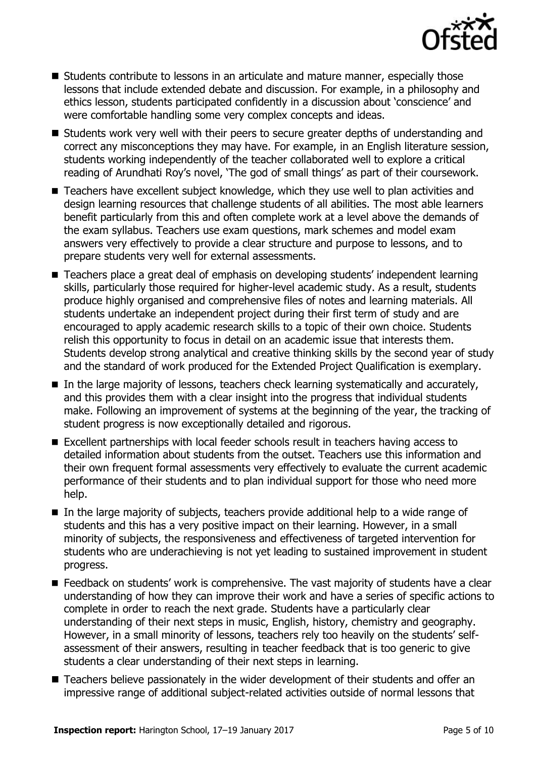

- **Students contribute to lessons in an articulate and mature manner, especially those** lessons that include extended debate and discussion. For example, in a philosophy and ethics lesson, students participated confidently in a discussion about 'conscience' and were comfortable handling some very complex concepts and ideas.
- Students work very well with their peers to secure greater depths of understanding and correct any misconceptions they may have. For example, in an English literature session, students working independently of the teacher collaborated well to explore a critical reading of Arundhati Roy's novel, 'The god of small things' as part of their coursework.
- Teachers have excellent subject knowledge, which they use well to plan activities and design learning resources that challenge students of all abilities. The most able learners benefit particularly from this and often complete work at a level above the demands of the exam syllabus. Teachers use exam questions, mark schemes and model exam answers very effectively to provide a clear structure and purpose to lessons, and to prepare students very well for external assessments.
- Teachers place a great deal of emphasis on developing students' independent learning skills, particularly those required for higher-level academic study. As a result, students produce highly organised and comprehensive files of notes and learning materials. All students undertake an independent project during their first term of study and are encouraged to apply academic research skills to a topic of their own choice. Students relish this opportunity to focus in detail on an academic issue that interests them. Students develop strong analytical and creative thinking skills by the second year of study and the standard of work produced for the Extended Project Qualification is exemplary.
- In the large majority of lessons, teachers check learning systematically and accurately, and this provides them with a clear insight into the progress that individual students make. Following an improvement of systems at the beginning of the year, the tracking of student progress is now exceptionally detailed and rigorous.
- Excellent partnerships with local feeder schools result in teachers having access to detailed information about students from the outset. Teachers use this information and their own frequent formal assessments very effectively to evaluate the current academic performance of their students and to plan individual support for those who need more help.
- In the large majority of subjects, teachers provide additional help to a wide range of students and this has a very positive impact on their learning. However, in a small minority of subjects, the responsiveness and effectiveness of targeted intervention for students who are underachieving is not yet leading to sustained improvement in student progress.
- E Feedback on students' work is comprehensive. The vast majority of students have a clear understanding of how they can improve their work and have a series of specific actions to complete in order to reach the next grade. Students have a particularly clear understanding of their next steps in music, English, history, chemistry and geography. However, in a small minority of lessons, teachers rely too heavily on the students' selfassessment of their answers, resulting in teacher feedback that is too generic to give students a clear understanding of their next steps in learning.
- Teachers believe passionately in the wider development of their students and offer an impressive range of additional subject-related activities outside of normal lessons that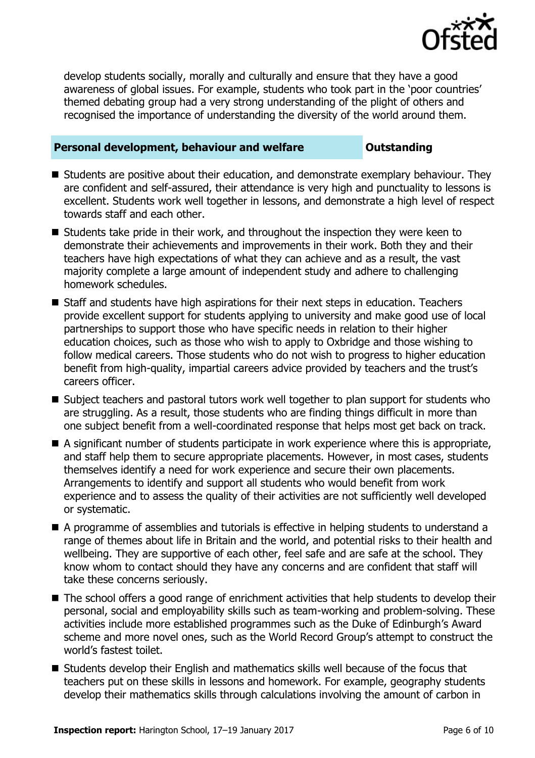

develop students socially, morally and culturally and ensure that they have a good awareness of global issues. For example, students who took part in the 'poor countries' themed debating group had a very strong understanding of the plight of others and recognised the importance of understanding the diversity of the world around them.

### **Personal development, behaviour and welfare <b>COUNGER** Dutstanding

- Students are positive about their education, and demonstrate exemplary behaviour. They are confident and self-assured, their attendance is very high and punctuality to lessons is excellent. Students work well together in lessons, and demonstrate a high level of respect towards staff and each other.
- Students take pride in their work, and throughout the inspection they were keen to demonstrate their achievements and improvements in their work. Both they and their teachers have high expectations of what they can achieve and as a result, the vast majority complete a large amount of independent study and adhere to challenging homework schedules.
- Staff and students have high aspirations for their next steps in education. Teachers provide excellent support for students applying to university and make good use of local partnerships to support those who have specific needs in relation to their higher education choices, such as those who wish to apply to Oxbridge and those wishing to follow medical careers. Those students who do not wish to progress to higher education benefit from high-quality, impartial careers advice provided by teachers and the trust's careers officer.
- Subject teachers and pastoral tutors work well together to plan support for students who are struggling. As a result, those students who are finding things difficult in more than one subject benefit from a well-coordinated response that helps most get back on track.
- A significant number of students participate in work experience where this is appropriate, and staff help them to secure appropriate placements. However, in most cases, students themselves identify a need for work experience and secure their own placements. Arrangements to identify and support all students who would benefit from work experience and to assess the quality of their activities are not sufficiently well developed or systematic.
- A programme of assemblies and tutorials is effective in helping students to understand a range of themes about life in Britain and the world, and potential risks to their health and wellbeing. They are supportive of each other, feel safe and are safe at the school. They know whom to contact should they have any concerns and are confident that staff will take these concerns seriously.
- The school offers a good range of enrichment activities that help students to develop their personal, social and employability skills such as team-working and problem-solving. These activities include more established programmes such as the Duke of Edinburgh's Award scheme and more novel ones, such as the World Record Group's attempt to construct the world's fastest toilet.
- Students develop their English and mathematics skills well because of the focus that teachers put on these skills in lessons and homework. For example, geography students develop their mathematics skills through calculations involving the amount of carbon in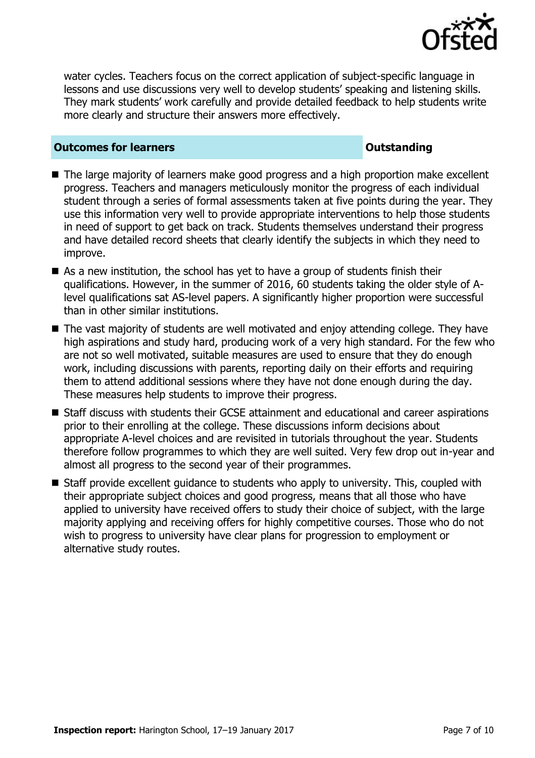

water cycles. Teachers focus on the correct application of subject-specific language in lessons and use discussions very well to develop students' speaking and listening skills. They mark students' work carefully and provide detailed feedback to help students write more clearly and structure their answers more effectively.

### **Outcomes for learners Outstanding**

- The large majority of learners make good progress and a high proportion make excellent progress. Teachers and managers meticulously monitor the progress of each individual student through a series of formal assessments taken at five points during the year. They use this information very well to provide appropriate interventions to help those students in need of support to get back on track. Students themselves understand their progress and have detailed record sheets that clearly identify the subjects in which they need to improve.
- As a new institution, the school has yet to have a group of students finish their qualifications. However, in the summer of 2016, 60 students taking the older style of Alevel qualifications sat AS-level papers. A significantly higher proportion were successful than in other similar institutions.
- The vast majority of students are well motivated and enjoy attending college. They have high aspirations and study hard, producing work of a very high standard. For the few who are not so well motivated, suitable measures are used to ensure that they do enough work, including discussions with parents, reporting daily on their efforts and requiring them to attend additional sessions where they have not done enough during the day. These measures help students to improve their progress.
- Staff discuss with students their GCSE attainment and educational and career aspirations prior to their enrolling at the college. These discussions inform decisions about appropriate A-level choices and are revisited in tutorials throughout the year. Students therefore follow programmes to which they are well suited. Very few drop out in-year and almost all progress to the second year of their programmes.
- Staff provide excellent quidance to students who apply to university. This, coupled with their appropriate subject choices and good progress, means that all those who have applied to university have received offers to study their choice of subject, with the large majority applying and receiving offers for highly competitive courses. Those who do not wish to progress to university have clear plans for progression to employment or alternative study routes.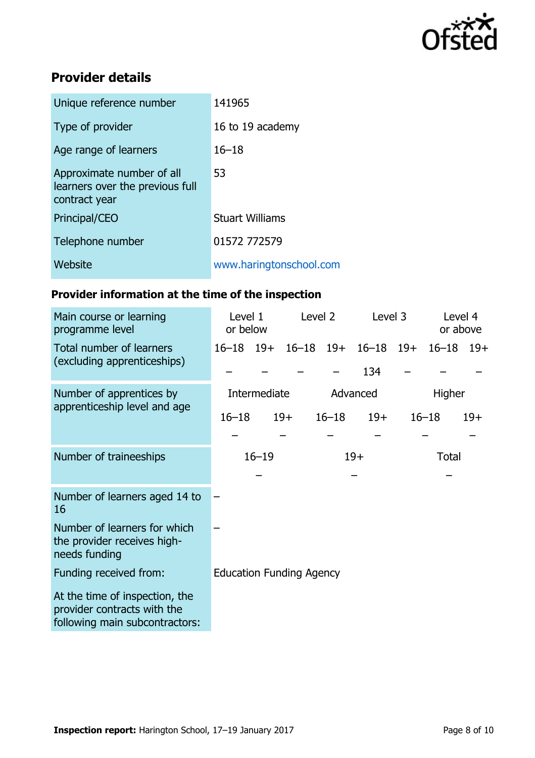

# **Provider details**

| Unique reference number                                                       | 141965                  |
|-------------------------------------------------------------------------------|-------------------------|
| Type of provider                                                              | 16 to 19 academy        |
| Age range of learners                                                         | $16 - 18$               |
| Approximate number of all<br>learners over the previous full<br>contract year | 53                      |
| Principal/CEO                                                                 | <b>Stuart Williams</b>  |
| Telephone number                                                              | 01572 772579            |
| Website                                                                       | www.haringtonschool.com |

# **Provider information at the time of the inspection**

| Main course or learning<br>programme level                                                      | Level 1<br>or below             |  | Level 2       |                    | Level 3          |  | Level 4<br>or above |       |
|-------------------------------------------------------------------------------------------------|---------------------------------|--|---------------|--------------------|------------------|--|---------------------|-------|
| Total number of learners<br>(excluding apprenticeships)                                         | $16 - 18$ 19+                   |  | $16 - 18$ 19+ |                    | $16 - 18$ $19 +$ |  | $16 - 18$           | $19+$ |
|                                                                                                 |                                 |  |               |                    | 134              |  |                     |       |
| Number of apprentices by<br>apprenticeship level and age                                        | Intermediate                    |  |               | Advanced<br>Higher |                  |  |                     |       |
|                                                                                                 | $16 - 18$                       |  | $19+$         | $16 - 18$          | $19+$            |  | $16 - 18$           | $19+$ |
|                                                                                                 |                                 |  |               |                    |                  |  |                     |       |
| Number of traineeships                                                                          | $16 - 19$<br>$19+$              |  |               | <b>Total</b>       |                  |  |                     |       |
|                                                                                                 |                                 |  |               |                    |                  |  |                     |       |
| Number of learners aged 14 to<br>16                                                             |                                 |  |               |                    |                  |  |                     |       |
| Number of learners for which<br>the provider receives high-<br>needs funding                    |                                 |  |               |                    |                  |  |                     |       |
| Funding received from:                                                                          | <b>Education Funding Agency</b> |  |               |                    |                  |  |                     |       |
| At the time of inspection, the<br>provider contracts with the<br>following main subcontractors: |                                 |  |               |                    |                  |  |                     |       |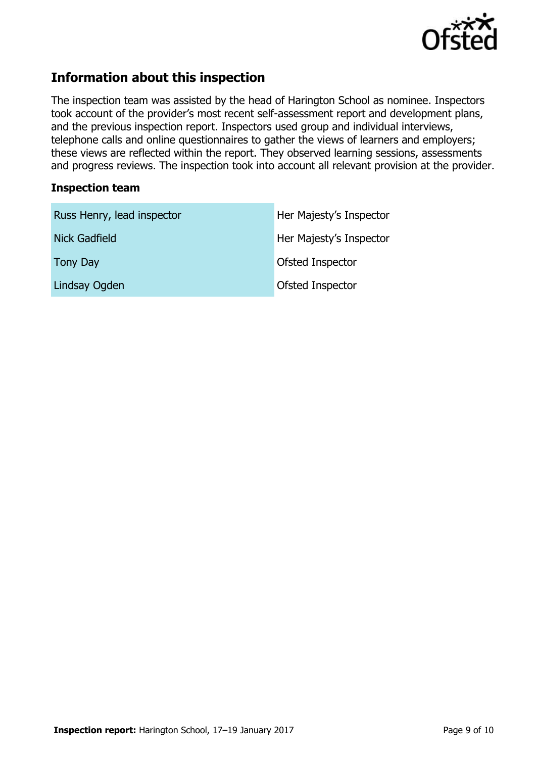

# **Information about this inspection**

The inspection team was assisted by the head of Harington School as nominee. Inspectors took account of the provider's most recent self-assessment report and development plans, and the previous inspection report. Inspectors used group and individual interviews, telephone calls and online questionnaires to gather the views of learners and employers; these views are reflected within the report. They observed learning sessions, assessments and progress reviews. The inspection took into account all relevant provision at the provider.

### **Inspection team**

| Russ Henry, lead inspector | Her Majesty's Inspector |
|----------------------------|-------------------------|
| <b>Nick Gadfield</b>       | Her Majesty's Inspector |
| <b>Tony Day</b>            | Ofsted Inspector        |
| Lindsay Ogden              | Ofsted Inspector        |